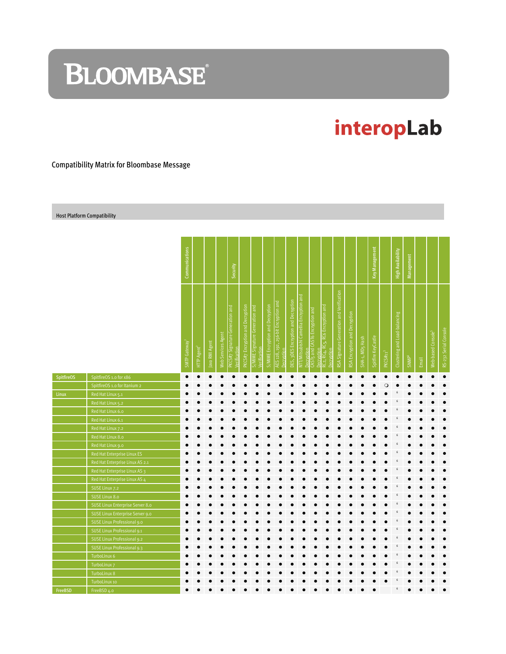# **BLOOMBASE**

## interopLab

#### Compatibility Matrix for Bloombase Message

Host Platform Compatibility

|                   |                                  | Communications |                         |                |                   |                                                 |                                  |                                                 |                                  |                                                    |                                     |                                                      |                                                          |                                                 |                                           |                               |                             | Key Management     |                      | <b>High Availability</b>      | Management        |       |                                |                       |
|-------------------|----------------------------------|----------------|-------------------------|----------------|-------------------|-------------------------------------------------|----------------------------------|-------------------------------------------------|----------------------------------|----------------------------------------------------|-------------------------------------|------------------------------------------------------|----------------------------------------------------------|-------------------------------------------------|-------------------------------------------|-------------------------------|-----------------------------|--------------------|----------------------|-------------------------------|-------------------|-------|--------------------------------|-----------------------|
|                   |                                  |                |                         |                |                   | Security                                        |                                  |                                                 |                                  |                                                    |                                     |                                                      |                                                          |                                                 |                                           |                               |                             |                    |                      |                               |                   |       |                                |                       |
|                   |                                  | SMTP Gateway   | HTTP Agent <sup>2</sup> | Java RMI Agent | Web Services Agen | PKCS#7 Signature Generation and<br>Verification | PKCS#7 Encryption and Decryption | S/MIME Signature Generation and<br>Verification | S/MIME Encryption and Decryption | AES 128, 192, 256-bit Encryption and<br>Decryption | DES, 3DES Encryption and Decryption | NTT/Mitsubishi Camellia Encryption and<br>Decryption | CAST <sub>5</sub> and CAST6 Encryption and<br>Decryption | RC2, RC4, RC5, RC6 Encryption and<br>Decryption | RSA Signature Generation and Verification | RSA Encryption and Decryption | SHA-1, MD <sub>5</sub> Hash | Spitfire KeyCastle | PKCSH11 <sup>3</sup> | Clustering and Load-balancing | SNMP <sup>4</sup> | Email | Web-based Console <sup>5</sup> | RS-232 Serial Console |
| <b>SpitfireOS</b> | SpitfireOS 1.0 for x86           | $\bullet$      |                         |                |                   |                                                 |                                  |                                                 |                                  |                                                    |                                     |                                                      |                                                          |                                                 |                                           |                               |                             |                    |                      |                               |                   |       |                                | $\bullet$             |
|                   | SpitfireOS 1.0 for Itanium 2     |                |                         |                |                   |                                                 |                                  |                                                 |                                  |                                                    |                                     |                                                      |                                                          |                                                 |                                           |                               |                             |                    | $\circ$              |                               |                   |       |                                |                       |
| Linux             | Red Hat Linux 5.1                |                |                         |                |                   |                                                 |                                  |                                                 |                                  |                                                    |                                     |                                                      |                                                          |                                                 |                                           |                               |                             |                    |                      |                               |                   |       |                                |                       |
|                   | Red Hat Linux 5.2                |                |                         |                |                   |                                                 |                                  |                                                 |                                  |                                                    |                                     |                                                      |                                                          |                                                 |                                           |                               |                             |                    |                      |                               |                   |       |                                |                       |
|                   | Red Hat Linux 6.0                |                |                         |                |                   |                                                 |                                  |                                                 |                                  |                                                    |                                     |                                                      |                                                          |                                                 |                                           |                               |                             |                    |                      |                               |                   |       |                                |                       |
|                   | Red Hat Linux 6.1                |                |                         |                |                   |                                                 |                                  |                                                 |                                  |                                                    |                                     |                                                      |                                                          |                                                 |                                           |                               |                             |                    |                      |                               |                   |       |                                |                       |
|                   | Red Hat Linux 7.2                |                |                         |                |                   |                                                 |                                  |                                                 |                                  |                                                    |                                     |                                                      |                                                          |                                                 |                                           |                               |                             |                    |                      | 6                             |                   |       |                                |                       |
|                   | Red Hat Linux 8.0                |                |                         |                |                   |                                                 |                                  |                                                 |                                  |                                                    |                                     |                                                      |                                                          |                                                 |                                           |                               |                             |                    |                      |                               |                   |       |                                |                       |
|                   | Red Hat Linux 9.0                |                |                         |                |                   |                                                 |                                  |                                                 |                                  |                                                    |                                     |                                                      |                                                          |                                                 |                                           |                               |                             |                    |                      | 6                             |                   |       |                                |                       |
|                   | Red Hat Enterprise Linux ES      |                |                         |                |                   |                                                 |                                  |                                                 |                                  |                                                    |                                     |                                                      |                                                          |                                                 |                                           |                               |                             |                    |                      | 6                             |                   |       |                                | $\bullet$             |
|                   | Red Hat Enterprise Linux AS 2.1  |                |                         |                |                   |                                                 |                                  |                                                 |                                  |                                                    |                                     |                                                      |                                                          |                                                 |                                           |                               |                             |                    |                      | 6                             |                   |       |                                |                       |
|                   | Red Hat Enterprise Linux AS 3    |                |                         |                |                   |                                                 |                                  |                                                 |                                  |                                                    |                                     |                                                      |                                                          |                                                 |                                           |                               |                             |                    |                      |                               |                   |       |                                |                       |
|                   | Red Hat Enterprise Linux AS 4    |                |                         |                |                   |                                                 |                                  |                                                 |                                  |                                                    |                                     |                                                      |                                                          |                                                 |                                           |                               |                             |                    |                      | 6                             |                   |       |                                |                       |
|                   | SUSE Linux 7.2                   |                |                         |                |                   |                                                 |                                  |                                                 |                                  |                                                    |                                     |                                                      |                                                          |                                                 |                                           |                               |                             |                    |                      | 6                             |                   |       |                                |                       |
|                   | SUSE Linux 8.0                   |                |                         |                |                   |                                                 |                                  |                                                 |                                  |                                                    |                                     |                                                      |                                                          |                                                 |                                           |                               |                             |                    |                      |                               |                   |       |                                |                       |
|                   | SUSE Linux Enterprise Server 8.0 |                |                         |                |                   |                                                 |                                  |                                                 |                                  |                                                    |                                     |                                                      |                                                          |                                                 |                                           |                               |                             |                    |                      |                               |                   |       |                                |                       |
|                   | SUSE Linux Enterprise Server 9.0 |                |                         |                |                   |                                                 |                                  |                                                 |                                  |                                                    |                                     |                                                      |                                                          |                                                 |                                           |                               |                             |                    |                      |                               |                   |       |                                |                       |
|                   | SUSE Linux Professional 9.0      |                |                         |                |                   |                                                 |                                  |                                                 |                                  |                                                    |                                     |                                                      |                                                          |                                                 |                                           |                               |                             |                    |                      | 6                             |                   |       |                                |                       |
|                   | SUSE Linux Professional 9.1      |                |                         |                |                   |                                                 |                                  |                                                 |                                  |                                                    |                                     |                                                      |                                                          |                                                 |                                           |                               |                             |                    |                      | 6                             |                   |       |                                |                       |
|                   | SUSE Linux Professional 9.2      |                |                         |                |                   |                                                 |                                  |                                                 |                                  |                                                    |                                     |                                                      |                                                          |                                                 |                                           |                               |                             |                    |                      |                               |                   |       |                                |                       |
|                   | SUSE Linux Professional 9.3      |                |                         |                |                   |                                                 |                                  |                                                 |                                  |                                                    |                                     |                                                      |                                                          |                                                 |                                           |                               |                             |                    |                      |                               |                   |       |                                |                       |
|                   | TurboLinux 6                     |                |                         |                |                   |                                                 |                                  |                                                 |                                  |                                                    |                                     |                                                      |                                                          |                                                 |                                           |                               |                             |                    |                      | 6                             |                   |       |                                |                       |
|                   | TurboLinux 7                     |                |                         |                |                   |                                                 |                                  |                                                 |                                  |                                                    |                                     |                                                      |                                                          |                                                 |                                           |                               |                             |                    |                      | 6                             |                   |       |                                |                       |
|                   | TurboLinux 8                     |                |                         |                |                   |                                                 |                                  |                                                 |                                  |                                                    |                                     |                                                      |                                                          |                                                 |                                           |                               |                             |                    |                      |                               |                   |       |                                |                       |
|                   | TurboLinux 10                    |                |                         |                |                   |                                                 |                                  |                                                 |                                  |                                                    |                                     |                                                      |                                                          |                                                 |                                           |                               |                             |                    |                      |                               |                   |       |                                |                       |
| FreeBSD           | FreeBSD 4.0                      |                |                         |                |                   |                                                 |                                  |                                                 |                                  |                                                    |                                     |                                                      |                                                          |                                                 |                                           |                               |                             |                    |                      | $\boldsymbol{6}$              |                   |       |                                |                       |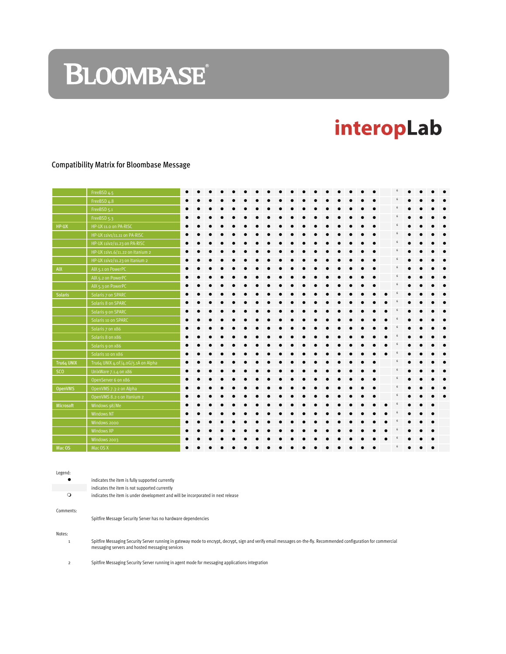# **BLOOMBASE**®

## interopLab

#### Compatibility Matrix for Bloombase Message

|                | FreeBSD 4.5                        |  |  |  |  |  |  |  |  |  |  |  |  |
|----------------|------------------------------------|--|--|--|--|--|--|--|--|--|--|--|--|
|                | FreeBSD 4.8                        |  |  |  |  |  |  |  |  |  |  |  |  |
|                | FreeBSD 5.1                        |  |  |  |  |  |  |  |  |  |  |  |  |
|                | FreeBSD <sub>5.3</sub>             |  |  |  |  |  |  |  |  |  |  |  |  |
| HP-UX          | HP-UX 11.0 on PA-RISC              |  |  |  |  |  |  |  |  |  |  |  |  |
|                | HP-UX 11iv1/11.11 on PA-RISC       |  |  |  |  |  |  |  |  |  |  |  |  |
|                | HP-UX 11iv2/11.23 on PA-RISC       |  |  |  |  |  |  |  |  |  |  |  |  |
|                | HP-UX 11iv1.6/11.22 on Itanium 2   |  |  |  |  |  |  |  |  |  |  |  |  |
|                | HP-UX 11iv2/11.23 on Itanium 2     |  |  |  |  |  |  |  |  |  |  |  |  |
| AIX            | AIX 5.1 on PowerPC                 |  |  |  |  |  |  |  |  |  |  |  |  |
|                | AIX 5.2 on PowerPC                 |  |  |  |  |  |  |  |  |  |  |  |  |
|                | AIX 5.3 on PowerPC                 |  |  |  |  |  |  |  |  |  |  |  |  |
| <b>Solaris</b> | Solaris 7 on SPARC                 |  |  |  |  |  |  |  |  |  |  |  |  |
|                | Solaris 8 on SPARC                 |  |  |  |  |  |  |  |  |  |  |  |  |
|                | Solaris 9 on SPARC                 |  |  |  |  |  |  |  |  |  |  |  |  |
|                | Solaris 10 on SPARC                |  |  |  |  |  |  |  |  |  |  |  |  |
|                | Solaris 7 on x86                   |  |  |  |  |  |  |  |  |  |  |  |  |
|                | Solaris 8 on x86                   |  |  |  |  |  |  |  |  |  |  |  |  |
|                | Solaris 9 on x86                   |  |  |  |  |  |  |  |  |  |  |  |  |
|                | Solaris 10 on x86                  |  |  |  |  |  |  |  |  |  |  |  |  |
| Tru64 UNIX     | Tru64 UNIX 4.0F/4.0G/5.1A on Alpha |  |  |  |  |  |  |  |  |  |  |  |  |
| <b>SCO</b>     | UnixWare 7.1.4 on x86              |  |  |  |  |  |  |  |  |  |  |  |  |
|                | OpenServer 6 on x86                |  |  |  |  |  |  |  |  |  |  |  |  |
| <b>OpenVMS</b> | OpenVMS 7.3-2 on Alpha             |  |  |  |  |  |  |  |  |  |  |  |  |
|                | OpenVMS 8.2-1 on Itanium 2         |  |  |  |  |  |  |  |  |  |  |  |  |
| Microsoft      | Windows 98/Me                      |  |  |  |  |  |  |  |  |  |  |  |  |
|                | <b>Windows NT</b>                  |  |  |  |  |  |  |  |  |  |  |  |  |
|                | Windows 2000                       |  |  |  |  |  |  |  |  |  |  |  |  |
|                | Windows XP                         |  |  |  |  |  |  |  |  |  |  |  |  |
|                | Windows 2003                       |  |  |  |  |  |  |  |  |  |  |  |  |
| Mac OS         | Mac OS X                           |  |  |  |  |  |  |  |  |  |  |  |  |

Legend:

|           | indicates the item is fully supported currently                                  |
|-----------|----------------------------------------------------------------------------------|
|           | indicates the item is not supported currently                                    |
|           | indicates the item is under development and will be incorporated in next release |
| Comments: |                                                                                  |

Spitfire Message Security Server has no hardware dependencies

Notes:

1 Spitfire Messaging Security Server running in gateway mode to encrypt, decrypt, sign and verify email messages on-the-fly. Recommended configuration for commercial messaging servers and hosted messaging services

2 Spitfire Messaging Security Server running in agent mode for messaging applications integration